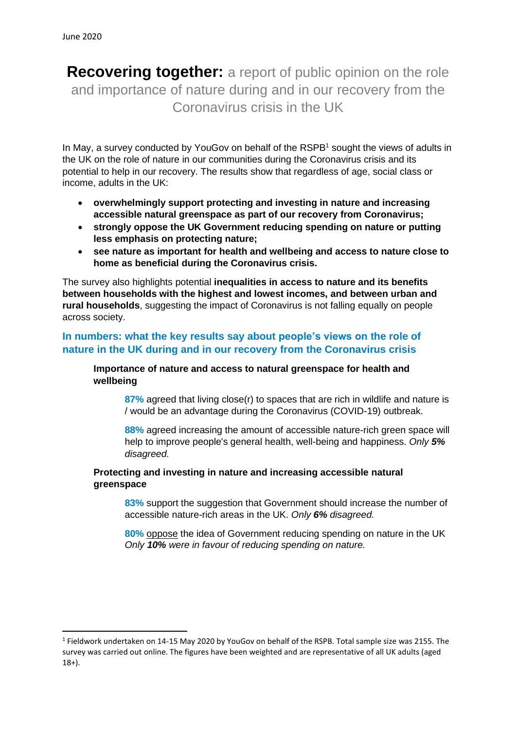**Recovering together:** a report of public opinion on the role and importance of nature during and in our recovery from the Coronavirus crisis in the UK

In May, a survey conducted by YouGoy on behalf of the RSPB<sup>1</sup> sought the views of adults in the UK on the role of nature in our communities during the Coronavirus crisis and its potential to help in our recovery. The results show that regardless of age, social class or income, adults in the UK:

- **overwhelmingly support protecting and investing in nature and increasing accessible natural greenspace as part of our recovery from Coronavirus;**
- **strongly oppose the UK Government reducing spending on nature or putting less emphasis on protecting nature;**
- **see nature as important for health and wellbeing and access to nature close to home as beneficial during the Coronavirus crisis.**

The survey also highlights potential **inequalities in access to nature and its benefits between households with the highest and lowest incomes, and between urban and rural households**, suggesting the impact of Coronavirus is not falling equally on people across society.

## **In numbers: what the key results say about people's views on the role of nature in the UK during and in our recovery from the Coronavirus crisis**

### **Importance of nature and access to natural greenspace for health and wellbeing**

**87%** agreed that living close(r) to spaces that are rich in wildlife and nature is / would be an advantage during the Coronavirus (COVID-19) outbreak.

**88%** agreed increasing the amount of accessible nature-rich green space will help to improve people's general health, well-being and happiness. *Only 5% disagreed.*

### **Protecting and investing in nature and increasing accessible natural greenspace**

**83%** support the suggestion that Government should increase the number of accessible nature-rich areas in the UK. *Only 6% disagreed.*

**80%** oppose the idea of Government reducing spending on nature in the UK *Only 10% were in favour of reducing spending on nature.*

<sup>&</sup>lt;sup>1</sup> Fieldwork undertaken on 14-15 May 2020 by YouGov on behalf of the RSPB. Total sample size was 2155. The survey was carried out online. The figures have been weighted and are representative of all UK adults (aged 18+).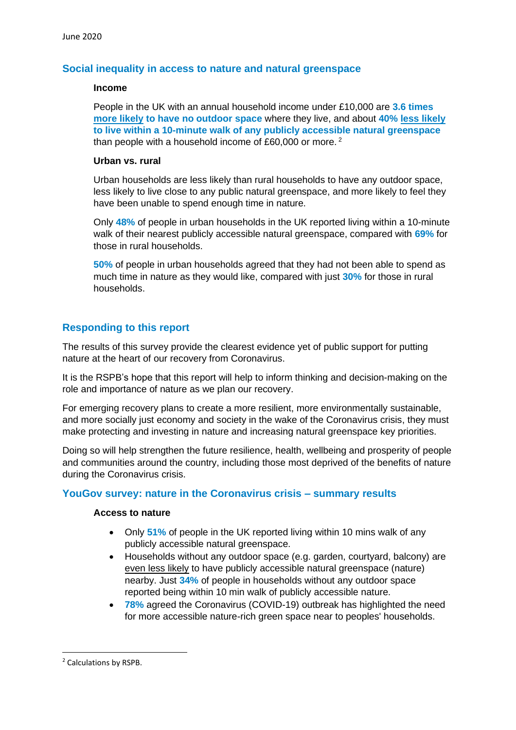### **Social inequality in access to nature and natural greenspace**

#### **Income**

People in the UK with an annual household income under £10,000 are **3.6 times more likely to have no outdoor space** where they live, and about **40% less likely to live within a 10-minute walk of any publicly accessible natural greenspace** than people with a household income of £60,000 or more.  $2^2$ 

#### **Urban vs. rural**

Urban households are less likely than rural households to have any outdoor space, less likely to live close to any public natural greenspace, and more likely to feel they have been unable to spend enough time in nature.

Only **48%** of people in urban households in the UK reported living within a 10-minute walk of their nearest publicly accessible natural greenspace, compared with **69%** for those in rural households.

**50%** of people in urban households agreed that they had not been able to spend as much time in nature as they would like, compared with just **30%** for those in rural households.

## **Responding to this report**

The results of this survey provide the clearest evidence yet of public support for putting nature at the heart of our recovery from Coronavirus.

It is the RSPB's hope that this report will help to inform thinking and decision-making on the role and importance of nature as we plan our recovery.

For emerging recovery plans to create a more resilient, more environmentally sustainable, and more socially just economy and society in the wake of the Coronavirus crisis, they must make protecting and investing in nature and increasing natural greenspace key priorities.

Doing so will help strengthen the future resilience, health, wellbeing and prosperity of people and communities around the country, including those most deprived of the benefits of nature during the Coronavirus crisis.

## **YouGov survey: nature in the Coronavirus crisis – summary results**

#### **Access to nature**

- Only **51%** of people in the UK reported living within 10 mins walk of any publicly accessible natural greenspace.
- Households without any outdoor space (e.g. garden, courtyard, balcony) are even less likely to have publicly accessible natural greenspace (nature) nearby. Just **34%** of people in households without any outdoor space reported being within 10 min walk of publicly accessible nature.
- **78%** agreed the Coronavirus (COVID-19) outbreak has highlighted the need for more accessible nature-rich green space near to peoples' households.

<sup>2</sup> Calculations by RSPB.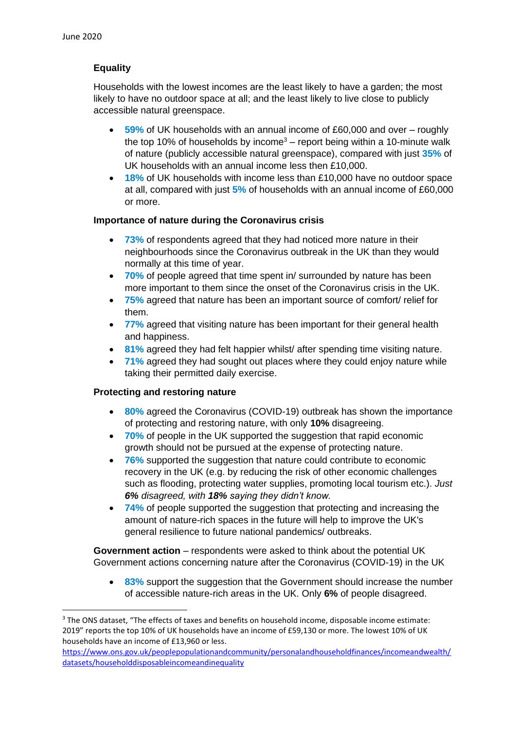# **Equality**

Households with the lowest incomes are the least likely to have a garden; the most likely to have no outdoor space at all; and the least likely to live close to publicly accessible natural greenspace.

- **59%** of UK households with an annual income of £60,000 and over roughly the top 10% of households by income<sup>3</sup> – report being within a 10-minute walk of nature (publicly accessible natural greenspace), compared with just **35%** of UK households with an annual income less then £10,000.
- **18%** of UK households with income less than £10,000 have no outdoor space at all, compared with just **5%** of households with an annual income of £60,000 or more.

### **Importance of nature during the Coronavirus crisis**

- 73% of respondents agreed that they had noticed more nature in their neighbourhoods since the Coronavirus outbreak in the UK than they would normally at this time of year.
- **70%** of people agreed that time spent in/ surrounded by nature has been more important to them since the onset of the Coronavirus crisis in the UK.
- **75%** agreed that nature has been an important source of comfort/ relief for them.
- **77%** agreed that visiting nature has been important for their general health and happiness.
- **81%** agreed they had felt happier whilst/ after spending time visiting nature.
- **71%** agreed they had sought out places where they could enjoy nature while taking their permitted daily exercise.

## **Protecting and restoring nature**

- **80%** agreed the Coronavirus (COVID-19) outbreak has shown the importance of protecting and restoring nature, with only **10%** disagreeing.
- **70%** of people in the UK supported the suggestion that rapid economic growth should not be pursued at the expense of protecting nature.
- **76%** supported the suggestion that nature could contribute to economic recovery in the UK (e.g. by reducing the risk of other economic challenges such as flooding, protecting water supplies, promoting local tourism etc.). *Just 6% disagreed, with 18% saying they didn't know.*
- **74%** of people supported the suggestion that protecting and increasing the amount of nature-rich spaces in the future will help to improve the UK's general resilience to future national pandemics/ outbreaks.

**Government action** – respondents were asked to think about the potential UK Government actions concerning nature after the Coronavirus (COVID-19) in the UK

• **83%** support the suggestion that the Government should increase the number of accessible nature-rich areas in the UK. Only **6%** of people disagreed.

<sup>3</sup> The ONS dataset, "The effects of taxes and benefits on household income, disposable income estimate: 2019" reports the top 10% of UK households have an income of £59,130 or more. The lowest 10% of UK households have an income of £13,960 or less.

[https://www.ons.gov.uk/peoplepopulationandcommunity/personalandhouseholdfinances/incomeandwealth/](https://www.ons.gov.uk/peoplepopulationandcommunity/personalandhouseholdfinances/incomeandwealth/datasets/householddisposableincomeandinequality) [datasets/householddisposableincomeandinequality](https://www.ons.gov.uk/peoplepopulationandcommunity/personalandhouseholdfinances/incomeandwealth/datasets/householddisposableincomeandinequality)